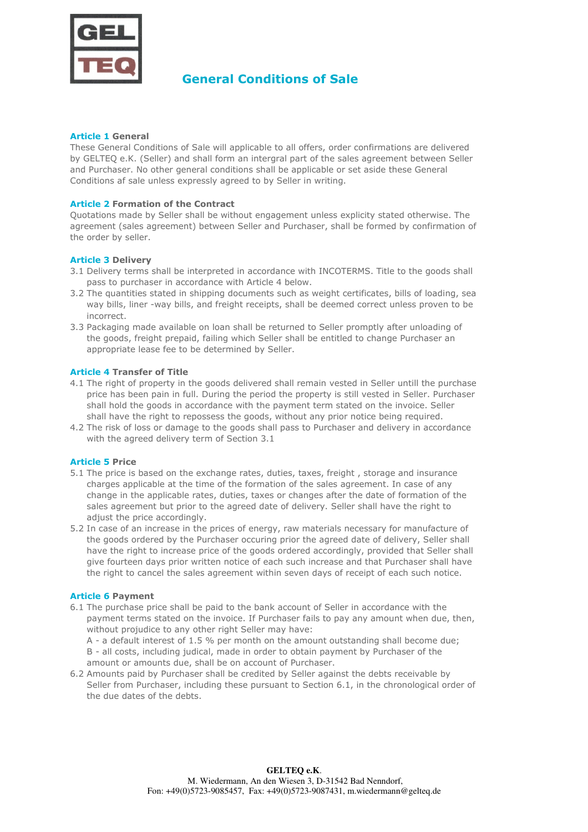

# **General Conditions of Sale**

#### **Article 1 General**

These General Conditions of Sale will applicable to all offers, order confirmations are delivered by GELTEQ e.K. (Seller) and shall form an intergral part of the sales agreement between Seller and Purchaser. No other general conditions shall be applicable or set aside these General Conditions af sale unless expressly agreed to by Seller in writing.

### **Article 2 Formation of the Contract**

Quotations made by Seller shall be without engagement unless explicity stated otherwise. The agreement (sales agreement) between Seller and Purchaser, shall be formed by confirmation of the order by seller.

#### **Article 3 Delivery**

- 3.1Delivery terms shall be interpreted in accordance with INCOTERMS. Title to the goods shall pass to purchaser in accordance with Article 4 below.
- 3.2 The quantities stated in shipping documents such as weight certificates, bills of loading, sea way bills, liner -way bills, and freight receipts, shall be deemed correct unless proven to be incorrect.
- 3.3Packaging made available on loan shall be returned to Seller promptly after unloading of the goods, freight prepaid, failing which Seller shall be entitled to change Purchaser an appropriate lease fee to be determined by Seller.

#### **Article 4 Transfer of Title**

- 4.1 The right of property in the goods delivered shall remain vested in Seller untill the purchase price has been pain in full. During the period the property is still vested in Seller. Purchaser shall hold the goods in accordance with the payment term stated on the invoice. Seller shall have the right to repossess the goods, without any prior notice being required.
- 4.2The risk of loss or damage to the goods shall pass to Purchaser and delivery in accordance with the agreed delivery term of Section 3.1

#### **Article 5 Price**

- 5.1The price is based on the exchange rates, duties, taxes, freight , storage and insurance charges applicable at the time of the formation of the sales agreement. In case of any change in the applicable rates, duties, taxes or changes after the date of formation of the sales agreement but prior to the agreed date of delivery. Seller shall have the right to adjust the price accordingly.
- 5.2In case of an increase in the prices of energy, raw materials necessary for manufacture of the goods ordered by the Purchaser occuring prior the agreed date of delivery, Seller shall have the right to increase price of the goods ordered accordingly, provided that Seller shall give fourteen days prior written notice of each such increase and that Purchaser shall have the right to cancel the sales agreement within seven days of receipt of each such notice.

#### **Article 6 Payment**

- 6.1The purchase price shall be paid to the bank account of Seller in accordance with the payment terms stated on the invoice. If Purchaser fails to pay any amount when due, then, without projudice to any other right Seller may have:
	- A a default interest of 1.5 % per month on the amount outstanding shall become due;

B - all costs, including judical, made in order to obtain payment by Purchaser of the amount or amounts due, shall be on account of Purchaser.

6.2Amounts paid by Purchaser shall be credited by Seller against the debts receivable by Seller from Purchaser, including these pursuant to Section 6.1, in the chronological order of the due dates of the debts.